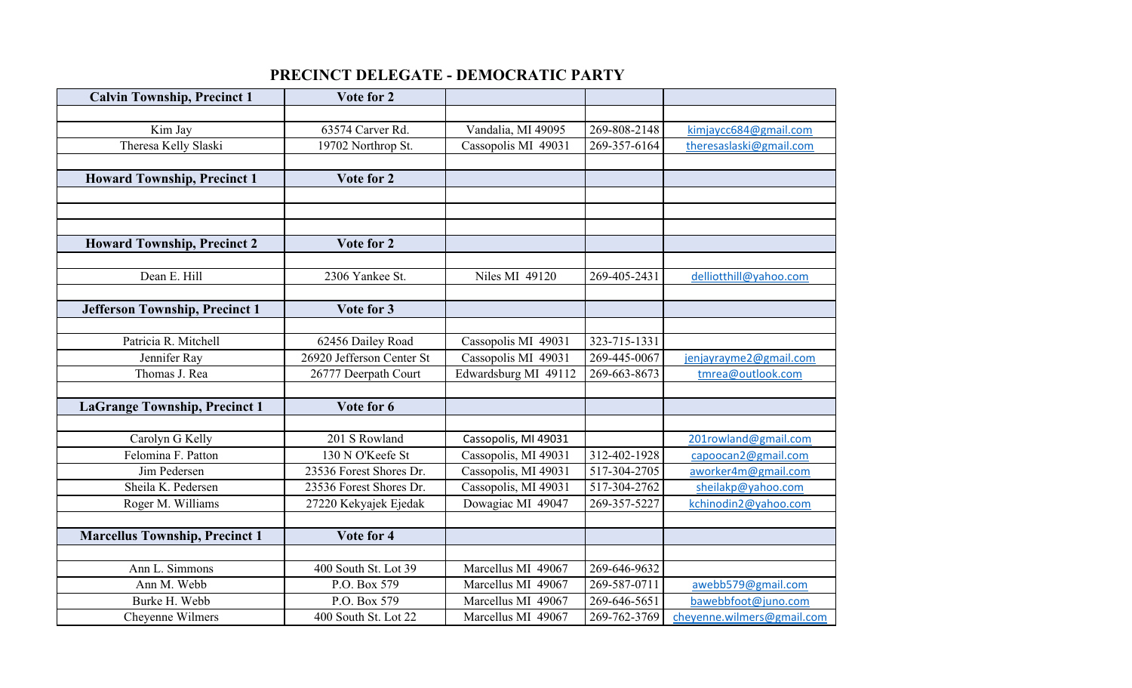## **PRECINCT DELEGATE - DEMOCRATIC PARTY**

| <b>Calvin Township, Precinct 1</b>    | Vote for 2                |                       |              |                            |
|---------------------------------------|---------------------------|-----------------------|--------------|----------------------------|
|                                       |                           |                       |              |                            |
| Kim Jay                               | 63574 Carver Rd.          | Vandalia, MI 49095    | 269-808-2148 | kimjaycc684@gmail.com      |
| Theresa Kelly Slaski                  | 19702 Northrop St.        | Cassopolis MI 49031   | 269-357-6164 | theresaslaski@gmail.com    |
|                                       |                           |                       |              |                            |
| <b>Howard Township, Precinct 1</b>    | Vote for 2                |                       |              |                            |
|                                       |                           |                       |              |                            |
|                                       |                           |                       |              |                            |
|                                       |                           |                       |              |                            |
| <b>Howard Township, Precinct 2</b>    | Vote for 2                |                       |              |                            |
|                                       |                           |                       |              |                            |
| Dean E. Hill                          | 2306 Yankee St.           | <b>Niles MI 49120</b> | 269-405-2431 | delliotthill@yahoo.com     |
|                                       |                           |                       |              |                            |
| <b>Jefferson Township, Precinct 1</b> | Vote for 3                |                       |              |                            |
|                                       |                           |                       |              |                            |
| Patricia R. Mitchell                  | 62456 Dailey Road         | Cassopolis MI 49031   | 323-715-1331 |                            |
| Jennifer Ray                          | 26920 Jefferson Center St | Cassopolis MI 49031   | 269-445-0067 | jenjayrayme2@gmail.com     |
| Thomas J. Rea                         | 26777 Deerpath Court      | Edwardsburg MI 49112  | 269-663-8673 | tmrea@outlook.com          |
|                                       |                           |                       |              |                            |
| <b>LaGrange Township, Precinct 1</b>  | Vote for 6                |                       |              |                            |
|                                       |                           |                       |              |                            |
| Carolyn G Kelly                       | 201 S Rowland             | Cassopolis, MI 49031  |              | 201rowland@gmail.com       |
| Felomina F. Patton                    | 130 N O'Keefe St          | Cassopolis, MI 49031  | 312-402-1928 | capoocan2@gmail.com        |
| Jim Pedersen                          | 23536 Forest Shores Dr.   | Cassopolis, MI 49031  | 517-304-2705 | aworker4m@gmail.com        |
| Sheila K. Pedersen                    | 23536 Forest Shores Dr.   | Cassopolis, MI 49031  | 517-304-2762 | sheilakp@yahoo.com         |
| Roger M. Williams                     | 27220 Kekyajek Ejedak     | Dowagiac MI 49047     | 269-357-5227 | kchinodin2@yahoo.com       |
|                                       |                           |                       |              |                            |
| <b>Marcellus Township, Precinct 1</b> | Vote for 4                |                       |              |                            |
|                                       |                           |                       |              |                            |
| Ann L. Simmons                        | 400 South St. Lot 39      | Marcellus MI 49067    | 269-646-9632 |                            |
| Ann M. Webb                           | P.O. Box 579              | Marcellus MI 49067    | 269-587-0711 | awebb579@gmail.com         |
| Burke H. Webb                         | P.O. Box 579              | Marcellus MI 49067    | 269-646-5651 | bawebbfoot@juno.com        |
| Cheyenne Wilmers                      | 400 South St. Lot 22      | Marcellus MI 49067    | 269-762-3769 | cheyenne.wilmers@gmail.com |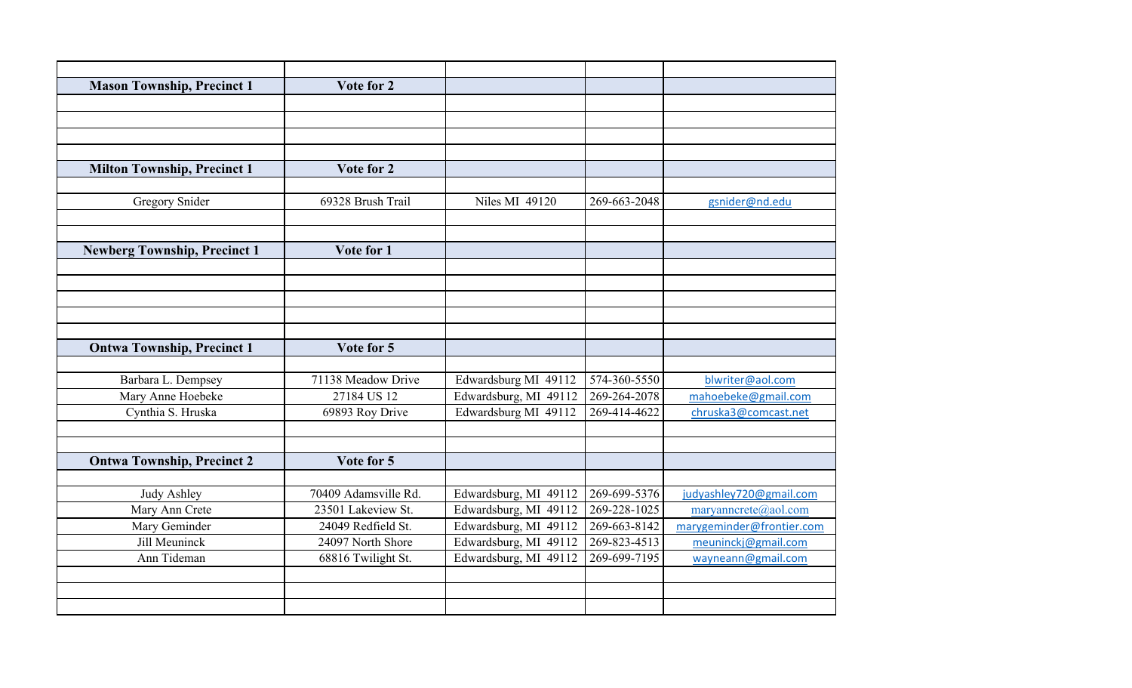| <b>Mason Township, Precinct 1</b>   | Vote for 2           |                       |              |                           |
|-------------------------------------|----------------------|-----------------------|--------------|---------------------------|
|                                     |                      |                       |              |                           |
|                                     |                      |                       |              |                           |
|                                     |                      |                       |              |                           |
|                                     |                      |                       |              |                           |
| <b>Milton Township, Precinct 1</b>  | Vote for 2           |                       |              |                           |
|                                     |                      |                       |              |                           |
| <b>Gregory Snider</b>               | 69328 Brush Trail    | <b>Niles MI 49120</b> | 269-663-2048 | gsnider@nd.edu            |
|                                     |                      |                       |              |                           |
|                                     |                      |                       |              |                           |
| <b>Newberg Township, Precinct 1</b> | Vote for 1           |                       |              |                           |
|                                     |                      |                       |              |                           |
|                                     |                      |                       |              |                           |
|                                     |                      |                       |              |                           |
|                                     |                      |                       |              |                           |
|                                     |                      |                       |              |                           |
| <b>Ontwa Township, Precinct 1</b>   | Vote for 5           |                       |              |                           |
|                                     |                      |                       |              |                           |
| Barbara L. Dempsey                  | 71138 Meadow Drive   | Edwardsburg MI 49112  | 574-360-5550 | blwriter@aol.com          |
| Mary Anne Hoebeke                   | 27184 US 12          | Edwardsburg, MI 49112 | 269-264-2078 | mahoebeke@gmail.com       |
| Cynthia S. Hruska                   | 69893 Roy Drive      | Edwardsburg MI 49112  | 269-414-4622 | chruska3@comcast.net      |
|                                     |                      |                       |              |                           |
|                                     |                      |                       |              |                           |
| <b>Ontwa Township, Precinct 2</b>   | Vote for 5           |                       |              |                           |
|                                     |                      |                       |              |                           |
| <b>Judy Ashley</b>                  | 70409 Adamsville Rd. | Edwardsburg, MI 49112 | 269-699-5376 | judyashley720@gmail.com   |
| Mary Ann Crete                      | 23501 Lakeview St.   | Edwardsburg, MI 49112 | 269-228-1025 | maryanncrete@aol.com      |
| Mary Geminder                       | 24049 Redfield St.   | Edwardsburg, MI 49112 | 269-663-8142 | marygeminder@frontier.com |
| Jill Meuninck                       | 24097 North Shore    | Edwardsburg, MI 49112 | 269-823-4513 | meuninckj@gmail.com       |
| Ann Tideman                         | 68816 Twilight St.   | Edwardsburg, MI 49112 | 269-699-7195 | wayneann@gmail.com        |
|                                     |                      |                       |              |                           |
|                                     |                      |                       |              |                           |
|                                     |                      |                       |              |                           |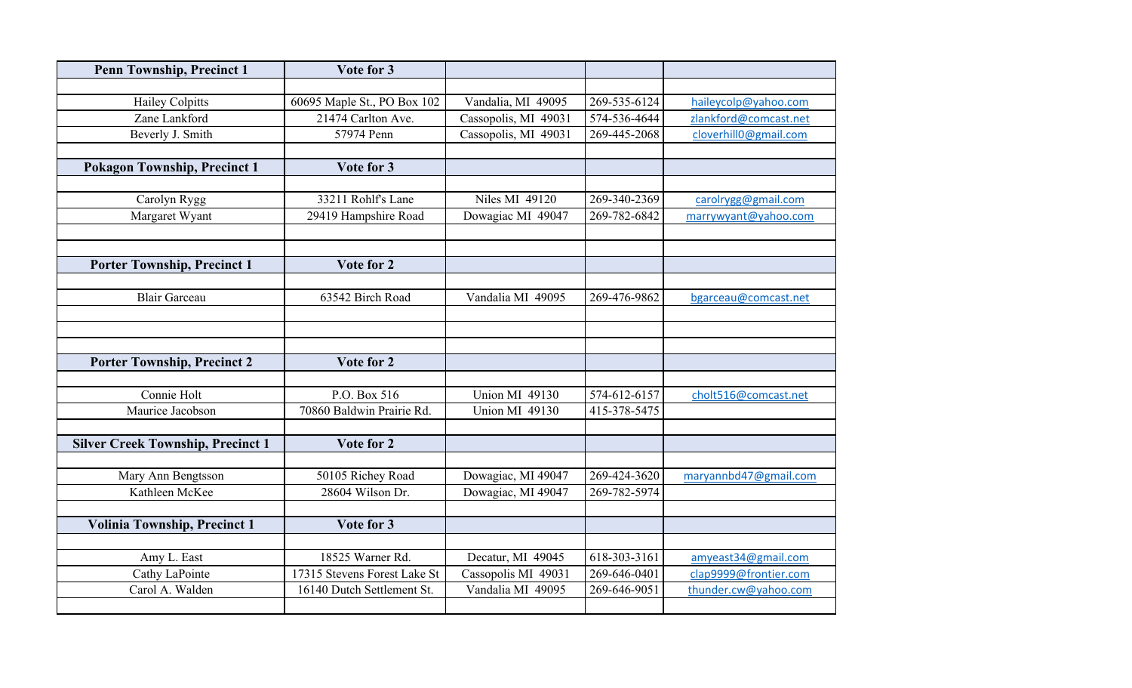| <b>Penn Township, Precinct 1</b>         | Vote for 3                   |                       |              |                       |
|------------------------------------------|------------------------------|-----------------------|--------------|-----------------------|
|                                          |                              |                       |              |                       |
| <b>Hailey Colpitts</b>                   | 60695 Maple St., PO Box 102  | Vandalia, MI 49095    | 269-535-6124 | haileycolp@yahoo.com  |
| Zane Lankford                            | 21474 Carlton Ave.           | Cassopolis, MI 49031  | 574-536-4644 | zlankford@comcast.net |
| Beverly J. Smith                         | 57974 Penn                   | Cassopolis, MI 49031  | 269-445-2068 | cloverhill0@gmail.com |
|                                          |                              |                       |              |                       |
| <b>Pokagon Township, Precinct 1</b>      | Vote for 3                   |                       |              |                       |
|                                          |                              |                       |              |                       |
| Carolyn Rygg                             | 33211 Rohlf's Lane           | <b>Niles MI 49120</b> | 269-340-2369 | carolrygg@gmail.com   |
| Margaret Wyant                           | 29419 Hampshire Road         | Dowagiac MI 49047     | 269-782-6842 | marrywyant@yahoo.com  |
|                                          |                              |                       |              |                       |
|                                          |                              |                       |              |                       |
| <b>Porter Township, Precinct 1</b>       | Vote for 2                   |                       |              |                       |
|                                          |                              |                       |              |                       |
| <b>Blair Garceau</b>                     | 63542 Birch Road             | Vandalia MI 49095     | 269-476-9862 | bgarceau@comcast.net  |
|                                          |                              |                       |              |                       |
|                                          |                              |                       |              |                       |
|                                          |                              |                       |              |                       |
| <b>Porter Township, Precinct 2</b>       | Vote for 2                   |                       |              |                       |
|                                          |                              |                       |              |                       |
| Connie Holt                              | P.O. Box 516                 | Union MI 49130        | 574-612-6157 | cholt516@comcast.net  |
| Maurice Jacobson                         | 70860 Baldwin Prairie Rd.    | Union MI 49130        | 415-378-5475 |                       |
|                                          |                              |                       |              |                       |
| <b>Silver Creek Township, Precinct 1</b> | Vote for 2                   |                       |              |                       |
|                                          |                              |                       |              |                       |
| Mary Ann Bengtsson                       | 50105 Richey Road            | Dowagiac, MI 49047    | 269-424-3620 | maryannbd47@gmail.com |
| Kathleen McKee                           | 28604 Wilson Dr.             | Dowagiac, MI 49047    | 269-782-5974 |                       |
|                                          |                              |                       |              |                       |
| <b>Volinia Township, Precinct 1</b>      | Vote for 3                   |                       |              |                       |
|                                          |                              |                       |              |                       |
| Amy L. East                              | 18525 Warner Rd.             | Decatur, MI 49045     | 618-303-3161 | amyeast34@gmail.com   |
| Cathy LaPointe                           | 17315 Stevens Forest Lake St | Cassopolis MI 49031   | 269-646-0401 | clap9999@frontier.com |
| Carol A. Walden                          | 16140 Dutch Settlement St.   | Vandalia MI 49095     | 269-646-9051 | thunder.cw@yahoo.com  |
|                                          |                              |                       |              |                       |